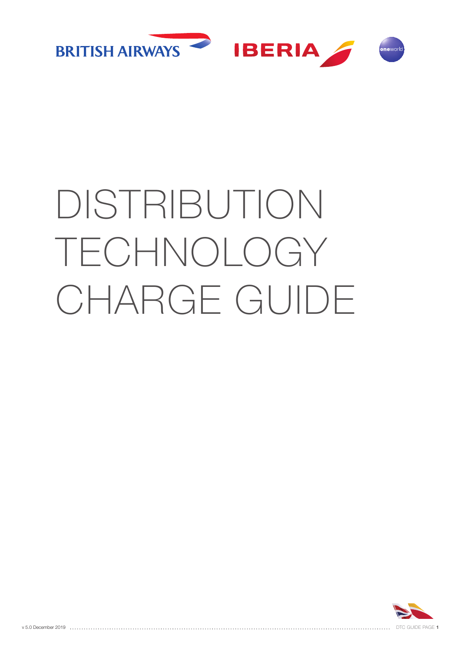

# DISTRIBUTION TECHNOLOGY CHARGE GUIDE

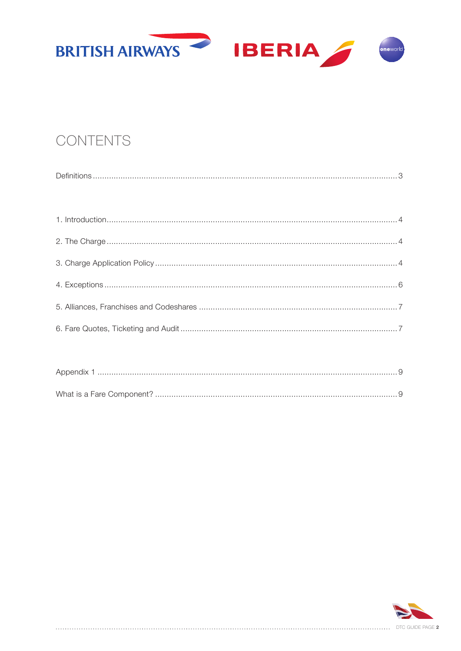

## CONTENTS

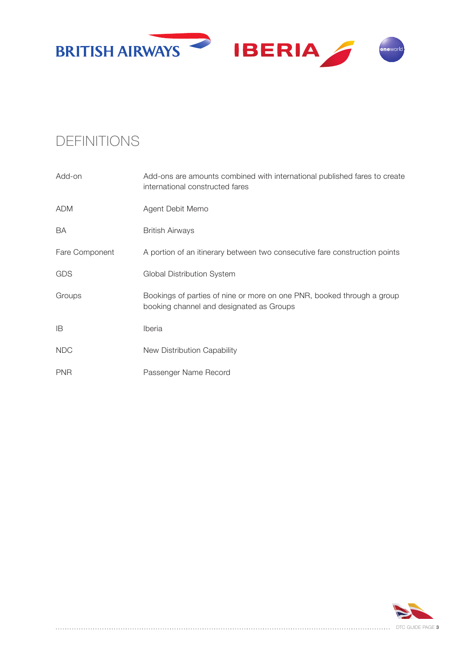

## DEFINITIONS

| Add-on         | Add-ons are amounts combined with international published fares to create<br>international constructed fares       |
|----------------|--------------------------------------------------------------------------------------------------------------------|
| <b>ADM</b>     | Agent Debit Memo                                                                                                   |
| BA             | <b>British Airways</b>                                                                                             |
| Fare Component | A portion of an itinerary between two consecutive fare construction points                                         |
| <b>GDS</b>     | Global Distribution System                                                                                         |
| Groups         | Bookings of parties of nine or more on one PNR, booked through a group<br>booking channel and designated as Groups |
| ΙB             | Iberia                                                                                                             |
| <b>NDC</b>     | New Distribution Capability                                                                                        |
| <b>PNR</b>     | Passenger Name Record                                                                                              |

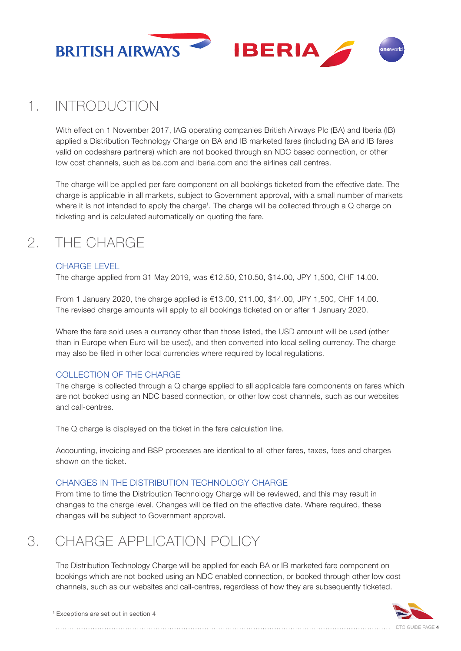

## 1. INTRODUCTION

With effect on 1 November 2017, IAG operating companies British Airways Plc (BA) and Iberia (IB) applied a Distribution Technology Charge on BA and IB marketed fares (including BA and IB fares valid on codeshare partners) which are not booked through an NDC based connection, or other low cost channels, such as ba.com and iberia.com and the airlines call centres.

The charge will be applied per fare component on all bookings ticketed from the effective date. The charge is applicable in all markets, subject to Government approval, with a small number of markets where it is not intended to apply the charge<sup>1</sup>. The charge will be collected through a  $Q$  charge on ticketing and is calculated automatically on quoting the fare.

## 2. THE CHARGE

#### CHARGE LEVEL

The charge applied from 31 May 2019, was €12.50, £10.50, \$14.00, JPY 1,500, CHF 14.00.

From 1 January 2020, the charge applied is €13.00, £11.00, \$14.00, JPY 1,500, CHF 14.00. The revised charge amounts will apply to all bookings ticketed on or after 1 January 2020.

Where the fare sold uses a currency other than those listed, the USD amount will be used (other than in Europe when Euro will be used), and then converted into local selling currency. The charge may also be filed in other local currencies where required by local regulations.

#### COLLECTION OF THE CHARGE

The charge is collected through a Q charge applied to all applicable fare components on fares which are not booked using an NDC based connection, or other low cost channels, such as our websites and call-centres.

The Q charge is displayed on the ticket in the fare calculation line.

Accounting, invoicing and BSP processes are identical to all other fares, taxes, fees and charges shown on the ticket.

#### CHANGES IN THE DISTRIBUTION TECHNOLOGY CHARGE

From time to time the Distribution Technology Charge will be reviewed, and this may result in changes to the charge level. Changes will be filed on the effective date. Where required, these changes will be subject to Government approval.

## 3. CHARGE APPLICATION POLICY

The Distribution Technology Charge will be applied for each BA or IB marketed fare component on bookings which are not booked using an NDC enabled connection, or booked through other low cost channels, such as our websites and call-centres, regardless of how they are subsequently ticketed.



<sup>1</sup> Exceptions are set out in section 4

DTC GUIDE PAGE **4**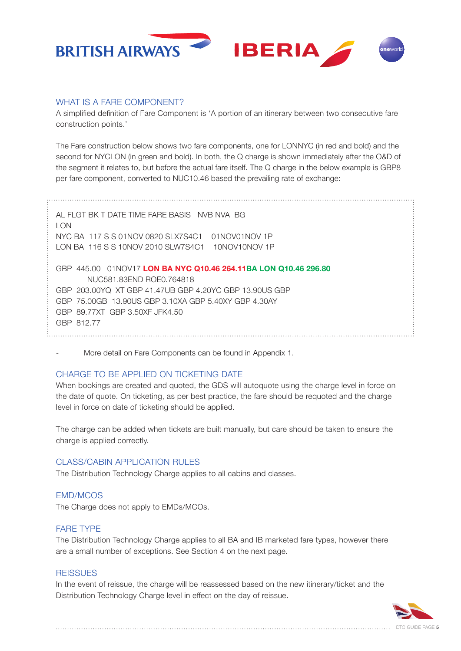

#### WHAT IS A FARE COMPONENT?

A simplified definition of Fare Component is 'A portion of an itinerary between two consecutive fare construction points.'

The Fare construction below shows two fare components, one for LONNYC (in red and bold) and the second for NYCLON (in green and bold). In both, the Q charge is shown immediately after the O&D of the segment it relates to, but before the actual fare itself. The Q charge in the below example is GBP8 per fare component, converted to NUC10.46 based the prevailing rate of exchange:

AL FLGT BK T DATE TIME FARE BASIS NVB NVA BG LON NYC BA 117 S S 01NOV 0820 SLX7S4C1 01NOV01NOV 1P LON BA 116 S S 10NOV 2010 SLW7S4C1 10NOV10NOV 1P GBP 445.00 01NOV17 **LON BA NYC Q10.46 264.11BA LON Q10.46 296.80** NUC581.83END ROE0.764818 GBP 203.00YQ XT GBP 41.47UB GBP 4.20YC GBP 13.90US GBP GBP 75.00GB 13.90US GBP 3.10XA GBP 5.40XY GBP 4.30AY GBP 89.77XT GBP 3.50XF JFK4.50 GBP 812.77

More detail on Fare Components can be found in Appendix 1.

#### CHARGE TO BE APPLIED ON TICKETING DATE

When bookings are created and quoted, the GDS will autoquote using the charge level in force on the date of quote. On ticketing, as per best practice, the fare should be requoted and the charge level in force on date of ticketing should be applied.

The charge can be added when tickets are built manually, but care should be taken to ensure the charge is applied correctly.

#### CLASS/CABIN APPLICATION RULES

The Distribution Technology Charge applies to all cabins and classes.

#### EMD/MCOS

The Charge does not apply to EMDs/MCOs.

#### FARE TYPE

The Distribution Technology Charge applies to all BA and IB marketed fare types, however there are a small number of exceptions. See Section 4 on the next page.

#### **REISSUES**

In the event of reissue, the charge will be reassessed based on the new itinerary/ticket and the Distribution Technology Charge level in effect on the day of reissue.

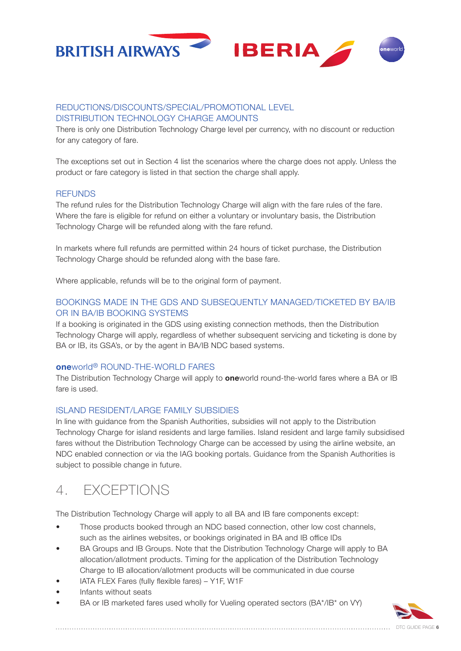

#### REDUCTIONS/DISCOUNTS/SPECIAL/PROMOTIONAL LEVEL DISTRIBUTION TECHNOLOGY CHARGE AMOUNTS

There is only one Distribution Technology Charge level per currency, with no discount or reduction for any category of fare.

The exceptions set out in Section 4 list the scenarios where the charge does not apply. Unless the product or fare category is listed in that section the charge shall apply.

#### **REFUNDS**

The refund rules for the Distribution Technology Charge will align with the fare rules of the fare. Where the fare is eligible for refund on either a voluntary or involuntary basis, the Distribution Technology Charge will be refunded along with the fare refund.

In markets where full refunds are permitted within 24 hours of ticket purchase, the Distribution Technology Charge should be refunded along with the base fare.

Where applicable, refunds will be to the original form of payment.

#### BOOKINGS MADE IN THE GDS AND SUBSEQUENTLY MANAGED/TICKETED BY BA/IB OR IN BA/IB BOOKING SYSTEMS

If a booking is originated in the GDS using existing connection methods, then the Distribution Technology Charge will apply, regardless of whether subsequent servicing and ticketing is done by BA or IB, its GSA's, or by the agent in BA/IB NDC based systems.

#### **one**world® ROUND-THE-WORLD FARES

The Distribution Technology Charge will apply to **one**world round-the-world fares where a BA or IB fare is used.

#### ISLAND RESIDENT/LARGE FAMILY SUBSIDIES

In line with guidance from the Spanish Authorities, subsidies will not apply to the Distribution Technology Charge for island residents and large families. Island resident and large family subsidised fares without the Distribution Technology Charge can be accessed by using the airline website, an NDC enabled connection or via the IAG booking portals. Guidance from the Spanish Authorities is subject to possible change in future.

### 4. EXCEPTIONS

The Distribution Technology Charge will apply to all BA and IB fare components except:

- Those products booked through an NDC based connection, other low cost channels, such as the airlines websites, or bookings originated in BA and IB office IDs
- BA Groups and IB Groups. Note that the Distribution Technology Charge will apply to BA allocation/allotment products. Timing for the application of the Distribution Technology Charge to IB allocation/allotment products will be communicated in due course
- IATA FLEX Fares (fully flexible fares) Y1F, W1F
- Infants without seats
- BA or IB marketed fares used wholly for Vueling operated sectors (BA\*/IB\* on VY)

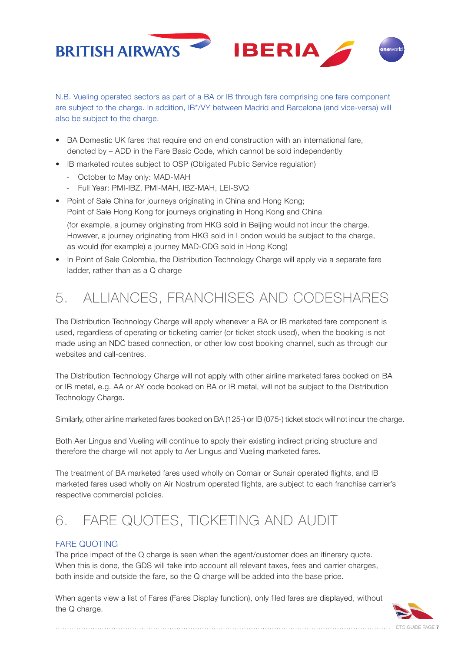

N.B. Vueling operated sectors as part of a BA or IB through fare comprising one fare component are subject to the charge. In addition, IB\*/VY between Madrid and Barcelona (and vice-versa) will also be subject to the charge.

- BA Domestic UK fares that require end on end construction with an international fare, denoted by – ADD in the Fare Basic Code, which cannot be sold independently
- IB marketed routes subject to OSP (Obligated Public Service regulation)
	- October to May only: MAD-MAH
	- Full Year: PMI-IBZ, PMI-MAH, IBZ-MAH, LEI-SVQ
- Point of Sale China for journeys originating in China and Hong Kong: Point of Sale Hong Kong for journeys originating in Hong Kong and China (for example, a journey originating from HKG sold in Beijing would not incur the charge.

However, a journey originating from HKG sold in London would be subject to the charge, as would (for example) a journey MAD-CDG sold in Hong Kong)

• In Point of Sale Colombia, the Distribution Technology Charge will apply via a separate fare ladder, rather than as a Q charge

# 5. ALLIANCES, FRANCHISES AND CODESHARES

The Distribution Technology Charge will apply whenever a BA or IB marketed fare component is used, regardless of operating or ticketing carrier (or ticket stock used), when the booking is not made using an NDC based connection, or other low cost booking channel, such as through our websites and call-centres.

The Distribution Technology Charge will not apply with other airline marketed fares booked on BA or IB metal, e.g. AA or AY code booked on BA or IB metal, will not be subject to the Distribution Technology Charge.

Similarly, other airline marketed fares booked on BA (125-) or IB (075-) ticket stock will not incur the charge.

Both Aer Lingus and Vueling will continue to apply their existing indirect pricing structure and therefore the charge will not apply to Aer Lingus and Vueling marketed fares.

The treatment of BA marketed fares used wholly on Comair or Sunair operated flights, and IB marketed fares used wholly on Air Nostrum operated flights, are subject to each franchise carrier's respective commercial policies.

# 6. FARE QUOTES, TICKETING AND AUDIT

#### FARE QUOTING

The price impact of the Q charge is seen when the agent/customer does an itinerary quote. When this is done, the GDS will take into account all relevant taxes, fees and carrier charges, both inside and outside the fare, so the Q charge will be added into the base price.

When agents view a list of Fares (Fares Display function), only filed fares are displayed, without the Q charge.

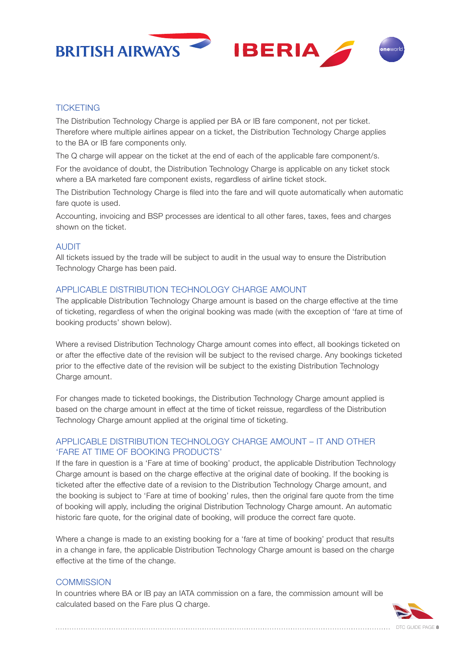



#### **TICKETING**

The Distribution Technology Charge is applied per BA or IB fare component, not per ticket. Therefore where multiple airlines appear on a ticket, the Distribution Technology Charge applies to the BA or IB fare components only.

The Q charge will appear on the ticket at the end of each of the applicable fare component/s.

For the avoidance of doubt, the Distribution Technology Charge is applicable on any ticket stock where a BA marketed fare component exists, regardless of airline ticket stock.

The Distribution Technology Charge is filed into the fare and will quote automatically when automatic fare quote is used.

Accounting, invoicing and BSP processes are identical to all other fares, taxes, fees and charges shown on the ticket.

#### AUDIT

All tickets issued by the trade will be subject to audit in the usual way to ensure the Distribution Technology Charge has been paid.

#### APPLICABLE DISTRIBUTION TECHNOLOGY CHARGE AMOUNT

The applicable Distribution Technology Charge amount is based on the charge effective at the time of ticketing, regardless of when the original booking was made (with the exception of 'fare at time of booking products' shown below).

Where a revised Distribution Technology Charge amount comes into effect, all bookings ticketed on or after the effective date of the revision will be subject to the revised charge. Any bookings ticketed prior to the effective date of the revision will be subject to the existing Distribution Technology Charge amount.

For changes made to ticketed bookings, the Distribution Technology Charge amount applied is based on the charge amount in effect at the time of ticket reissue, regardless of the Distribution Technology Charge amount applied at the original time of ticketing.

#### APPLICABLE DISTRIBUTION TECHNOLOGY CHARGE AMOUNT – IT AND OTHER 'FARE AT TIME OF BOOKING PRODUCTS'

If the fare in question is a 'Fare at time of booking' product, the applicable Distribution Technology Charge amount is based on the charge effective at the original date of booking. If the booking is ticketed after the effective date of a revision to the Distribution Technology Charge amount, and the booking is subject to 'Fare at time of booking' rules, then the original fare quote from the time of booking will apply, including the original Distribution Technology Charge amount. An automatic historic fare quote, for the original date of booking, will produce the correct fare quote.

Where a change is made to an existing booking for a 'fare at time of booking' product that results in a change in fare, the applicable Distribution Technology Charge amount is based on the charge effective at the time of the change.

#### **COMMISSION**

In countries where BA or IB pay an IATA commission on a fare, the commission amount will be calculated based on the Fare plus Q charge.



DTC GUIDE PAGE **8**